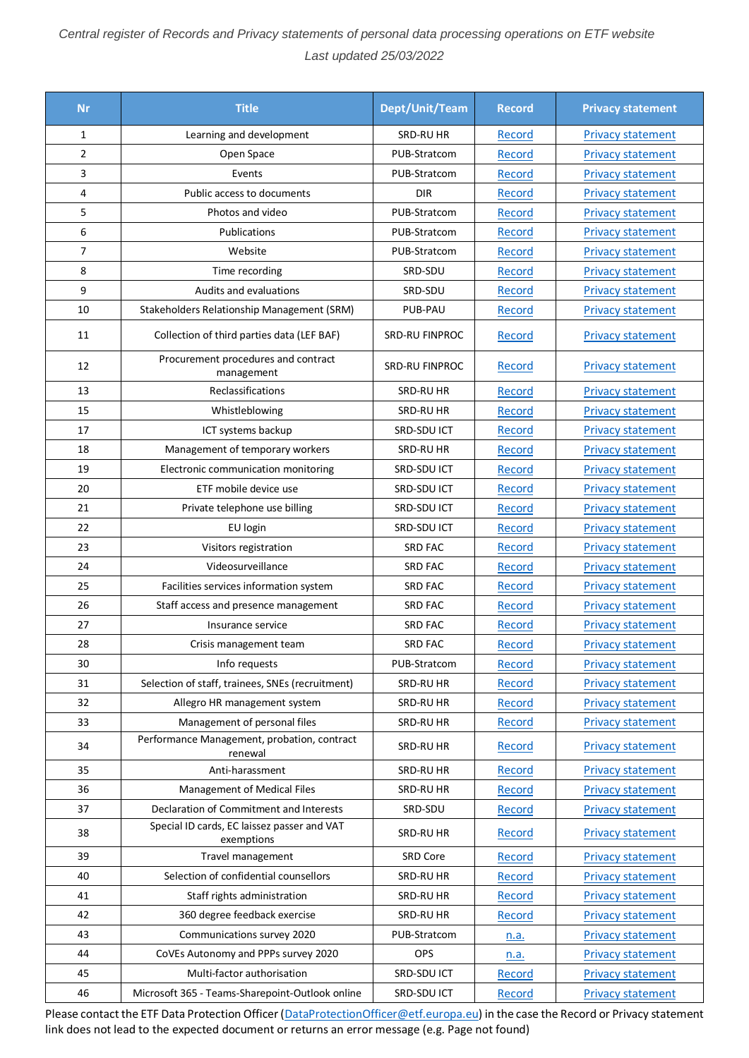## *Central register of Records and Privacy statements of personal data processing operations on ETF website Last updated 25/03/2022*

| <b>Nr</b>      | <b>Title</b>                                              | Dept/Unit/Team | <b>Record</b> | <b>Privacy statement</b> |
|----------------|-----------------------------------------------------------|----------------|---------------|--------------------------|
| $\mathbf{1}$   | Learning and development                                  | SRD-RU HR      | Record        | <b>Privacy statement</b> |
| $\overline{2}$ | Open Space                                                | PUB-Stratcom   | Record        | <b>Privacy statement</b> |
| 3              | Events                                                    | PUB-Stratcom   | Record        | <b>Privacy statement</b> |
| 4              | Public access to documents                                | <b>DIR</b>     | Record        | <b>Privacy statement</b> |
| 5              | Photos and video                                          | PUB-Stratcom   | Record        | <b>Privacy statement</b> |
| 6              | Publications                                              | PUB-Stratcom   | Record        | <b>Privacy statement</b> |
| 7              | Website                                                   | PUB-Stratcom   | Record        | <b>Privacy statement</b> |
| 8              | Time recording                                            | SRD-SDU        | Record        | <b>Privacy statement</b> |
| 9              | Audits and evaluations                                    | SRD-SDU        | Record        | <b>Privacy statement</b> |
| 10             | Stakeholders Relationship Management (SRM)                | PUB-PAU        | Record        | <b>Privacy statement</b> |
| 11             | Collection of third parties data (LEF BAF)                | SRD-RU FINPROC | Record        | <b>Privacy statement</b> |
| 12             | Procurement procedures and contract<br>management         | SRD-RU FINPROC | Record        | <b>Privacy statement</b> |
| 13             | Reclassifications                                         | SRD-RU HR      | Record        | <b>Privacy statement</b> |
| 15             | Whistleblowing                                            | SRD-RU HR      | Record        | <b>Privacy statement</b> |
| 17             | ICT systems backup                                        | SRD-SDU ICT    | Record        | <b>Privacy statement</b> |
| 18             | Management of temporary workers                           | SRD-RU HR      | Record        | <b>Privacy statement</b> |
| 19             | Electronic communication monitoring                       | SRD-SDU ICT    | Record        | <b>Privacy statement</b> |
| 20             | ETF mobile device use                                     | SRD-SDU ICT    | Record        | <b>Privacy statement</b> |
| 21             | Private telephone use billing                             | SRD-SDU ICT    | Record        | <b>Privacy statement</b> |
| 22             | EU login                                                  | SRD-SDU ICT    | Record        | <b>Privacy statement</b> |
| 23             | Visitors registration                                     | <b>SRD FAC</b> | Record        | <b>Privacy statement</b> |
| 24             | Videosurveillance                                         | <b>SRD FAC</b> | Record        | <b>Privacy statement</b> |
| 25             | Facilities services information system                    | <b>SRD FAC</b> | Record        | <b>Privacy statement</b> |
| 26             | Staff access and presence management                      | <b>SRD FAC</b> | Record        | <b>Privacy statement</b> |
| 27             | Insurance service                                         | <b>SRD FAC</b> | Record        | <b>Privacy statement</b> |
| 28             | Crisis management team                                    | <b>SRD FAC</b> | Record        | <b>Privacy statement</b> |
| 30             | Info requests                                             | PUB-Stratcom   | Record        | <b>Privacy statement</b> |
| 31             | Selection of staff, trainees, SNEs (recruitment)          | SRD-RU HR      | Record        | <b>Privacy statement</b> |
| 32             | Allegro HR management system                              | SRD-RU HR      | Record        | <b>Privacy statement</b> |
| 33             | Management of personal files                              | SRD-RU HR      | Record        | <b>Privacy statement</b> |
| 34             | Performance Management, probation, contract<br>renewal    | SRD-RU HR      | Record        | <b>Privacy statement</b> |
| 35             | Anti-harassment                                           | SRD-RU HR      | Record        | <b>Privacy statement</b> |
| 36             | Management of Medical Files                               | SRD-RU HR      | Record        | <b>Privacy statement</b> |
| 37             | Declaration of Commitment and Interests                   | SRD-SDU        | Record        | <b>Privacy statement</b> |
| 38             | Special ID cards, EC laissez passer and VAT<br>exemptions | SRD-RU HR      | Record        | <b>Privacy statement</b> |
| 39             | Travel management                                         | SRD Core       | Record        | <b>Privacy statement</b> |
| 40             | Selection of confidential counsellors                     | SRD-RU HR      | Record        | <b>Privacy statement</b> |
| 41             | Staff rights administration                               | SRD-RU HR      | Record        | <b>Privacy statement</b> |
| 42             | 360 degree feedback exercise                              | SRD-RU HR      | Record        | <b>Privacy statement</b> |
| 43             | Communications survey 2020                                | PUB-Stratcom   | n.a.          | <b>Privacy statement</b> |
| 44             | CoVEs Autonomy and PPPs survey 2020                       | OPS            | n.a.          | <b>Privacy statement</b> |
| 45             | Multi-factor authorisation                                | SRD-SDU ICT    | Record        | <b>Privacy statement</b> |
| 46             | Microsoft 365 - Teams-Sharepoint-Outlook online           | SRD-SDU ICT    | Record        | <b>Privacy statement</b> |

Please contact the ETF Data Protection Officer [\(DataProtectionOfficer@etf.europa.eu\)](mailto:DataProtectionOfficer@etf.europa.eu) in the case the Record or Privacy statement link does not lead to the expected document or returns an error message (e.g. Page not found)